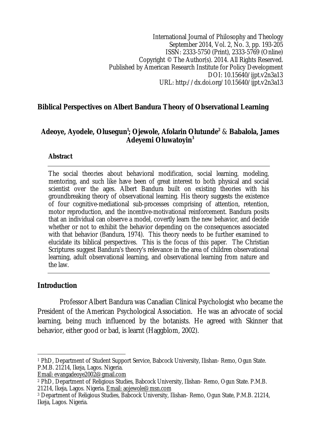# **Biblical Perspectives on Albert Bandura Theory of Observational Learning**

# **Adeoye, Ayodele, Olusegun<sup>1</sup> ; Ojewole, Afolarin Olutunde<sup>2</sup>** & **Babalola, James Adeyemi Oluwatoyin<sup>3</sup>**

### **Abstract**

The social theories about behavioral modification, social learning, modeling, mentoring, and such like have been of great interest to both physical and social scientist over the ages. Albert Bandura built on existing theories with his groundbreaking theory of observational learning. His theory suggests the existence of four cognitive-mediational sub-processes comprising of attention, retention, motor reproduction, and the incentive-motivational reinforcement. Bandura posits that an individual can observe a model, covertly learn the new behavior, and decide whether or not to exhibit the behavior depending on the consequences associated with that behavior (Bandura, 1974). This theory needs to be further examined to elucidate its biblical perspectives. This is the focus of this paper. The Christian Scriptures suggest Bandura's theory's relevance in the area of children observational learning, adult observational learning, and observational learning from nature and the law.

## **Introduction**

Professor Albert Bandura was Canadian Clinical Psychologist who became the President of the American Psychological Association. He was an advocate of social learning, being much influenced by the botanists. He agreed with Skinner that behavior, either good or bad, is learnt (Haggblom, 2002).

21214, Ikeja, Lagos. Nigeria. Email: aojewole@msn.com

 $\overline{a}$ <sup>1</sup> PhD, Department of Student Support Service, Babcock University, Ilishan- Remo, Ogun State. P.M.B. 21214, Ikeja, Lagos. Nigeria.

Email: evangadeoye2002@gmail.com

<sup>2</sup> PhD, Department of Religious Studies, Babcock University, Ilishan- Remo, Ogun State. P.M.B.

<sup>3</sup> Department of Religious Studies, Babcock University, Ilishan- Remo, Ogun State, P.M.B. 21214, Ikeja, Lagos. Nigeria.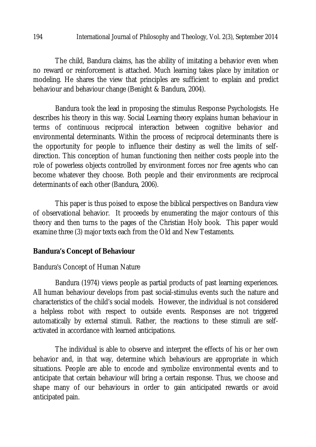### 194 International Journal of Philosophy and Theology, Vol. 2(3), September 2014

The child, Bandura claims, has the ability of imitating a behavior even when no reward or reinforcement is attached. Much learning takes place by imitation or modeling. He shares the view that principles are sufficient to explain and predict behaviour and behaviour change (Benight & Bandura, 2004).

Bandura took the lead in proposing the stimulus Response Psychologists. He describes his theory in this way. Social Learning theory explains human behaviour in terms of continuous reciprocal interaction between cognitive behavior and environmental determinants. Within the process of reciprocal determinants there is the opportunity for people to influence their destiny as well the limits of selfdirection. This conception of human functioning then neither costs people into the role of powerless objects controlled by environment forces nor free agents who can become whatever they choose. Both people and their environments are reciprocal determinants of each other (Bandura, 2006).

This paper is thus poised to expose the biblical perspectives on Bandura view of observational behavior. It proceeds by enumerating the major contours of this theory and then turns to the pages of the Christian Holy book. This paper would examine three (3) major texts each from the Old and New Testaments.

## **Bandura's Concept of Behaviour**

### Bandura's Concept of Human Nature

Bandura (1974) views people as partial products of past learning experiences. All human behaviour develops from past social-stimulus events such the nature and characteristics of the child's social models. However, the individual is not considered a helpless robot with respect to outside events. Responses are not triggered automatically by external stimuli. Rather, the reactions to these stimuli are selfactivated in accordance with learned anticipations.

The individual is able to observe and interpret the effects of his or her own behavior and, in that way, determine which behaviours are appropriate in which situations. People are able to encode and symbolize environmental events and to anticipate that certain behaviour will bring a certain response. Thus, we choose and shape many of our behaviours in order to gain anticipated rewards or avoid anticipated pain.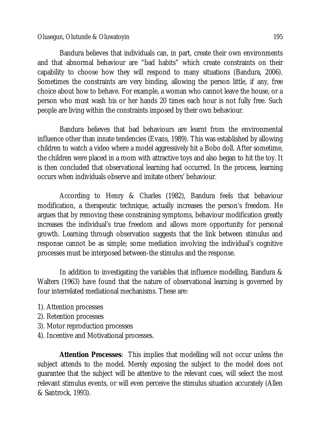#### Olusegun, Olutunde & Oluwatoyin 195

Bandura believes that individuals can, in part, create their own environments and that abnormal behaviour are "bad habits" which create constraints on their capability to choose how they will respond to many situations (Bandura, 2006). Sometimes the constraints are very binding, allowing the person little, if any, free choice about how to behave. For example, a woman who cannot leave the house, or a person who must wash his or her hands 20 times each hour is not fully free. Such people are living within the constraints imposed by their own behaviour.

Bandura believes that bad behaviours are learnt from the environmental influence other than innate tendencies (Evans, 1989). This was established by allowing children to watch a video where a model aggressively hit a Bobo doll. After sometime, the children were placed in a room with attractive toys and also began to hit the toy. It is then concluded that observational learning had occurred. In the process, learning occurs when individuals observe and imitate others' behaviour.

According to Henry & Charles (1982), Bandura feels that behaviour modification, a therapeutic technique, actually increases the person's freedom. He argues that by removing these constraining symptoms, behaviour modification greatly increases the individual's true freedom and allows more opportunity for personal growth. Learning through observation suggests that the link between stimulus and response cannot be as simple; some mediation involving the individual's cognitive processes must be interposed between-the stimulus and the response.

In addition to investigating the variables that influence modelling, Bandura & Walters (1963) have found that the nature of observational learning is governed by four interrelated mediational mechanisms. These are:

- 1). Attention processes
- 2). Retention processes
- 3). Motor reproduction processes
- 4). Incentive and Motivational processes.

**Attention Processes**: This implies that modelling will not occur unless the subject attends to the model. Merely exposing the subject to the model does not guarantee that the subject will be attentive to the relevant cues, will select the most relevant stimulus events, or will even perceive the stimulus situation accurately (Allen & Santrock, 1993).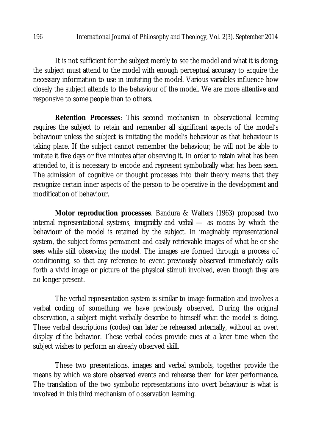It is not sufficient for the subject merely to see the model and what it is doing; the subject must attend to the model with enough perceptual accuracy to acquire the necessary information to use in imitating the model. Various variables influence how closely the subject attends to the behaviour of the model. We are more attentive and responsive to some people than to others.

**Retention Processes**: This second mechanism in observational learning requires the subject to retain and remember all significant aspects of the model's behaviour unless the subject is imitating the model's behaviour as that behaviour is taking place. If the subject cannot remember the behaviour, he will not be able to imitate it five days or five minutes after observing it. In order to retain what has been attended to, it is necessary to encode and represent symbolically what has been seen. The admission of cognitive or thought processes into their theory means that they recognize certain inner aspects of the person to be operative in the development and modification of behaviour.

**Motor reproduction processes**. Bandura & Walters (1963) proposed two internal representational systems, *imaginably* and *verbal* — as means by which the behaviour of the model is retained by the subject. In imaginably representational system, the subject forms permanent and easily retrievable images of what he or she sees while still observing the model. The images are formed through a process of conditioning, so that any reference to event previously observed immediately calls forth a vivid image or picture of the physical stimuli involved, even though they are no longer present.

The verbal representation system is similar to image formation and involves a verbal coding of something we have previously observed. During the original observation, a subject might verbally describe to himself what the model is doing. These verbal descriptions (codes) can later be rehearsed internally, without an overt display *of* the behavior. These verbal codes provide cues at a later time when the subject wishes to perform an already observed skill.

These two presentations, images and verbal symbols, together provide the means by which we store observed events and rehearse them for later performance. The translation of the two symbolic representations into overt behaviour is what is involved in this third mechanism of observation learning.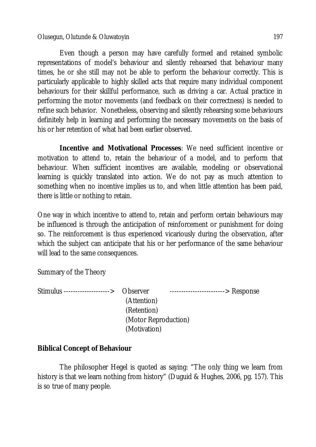#### Olusegun, Olutunde & Oluwatoyin 197

Even though a person may have carefully formed and retained symbolic representations of model's behaviour and silently rehearsed that behaviour many times, he or she still may not be able to perform the behaviour correctly. This is particularly applicable to highly skilled acts that require many individual component behaviours for their skillful performance, such as driving a car. Actual practice in performing the motor movements (and feedback on their correctness) is needed to refine such behavior. Nonetheless, observing and silently rehearsing some behaviours definitely help in learning and performing the necessary movements on the basis of his or her retention of what had been earlier observed.

**Incentive and Motivational Processes**: We need sufficient incentive or motivation to attend to, retain the behaviour of a model, and to perform that behaviour. When sufficient incentives are available, modeling or observational learning is quickly translated into action. We do not pay as much attention to something when no incentive implies us to, and when little attention has been paid, there is little or nothing to retain.

One way in which incentive to attend to, retain and perform certain behaviours may be influenced is through the anticipation of reinforcement or punishment for doing so. The reinforcement is thus experienced vicariously during the observation, after which the subject can anticipate that his or her performance of the same behaviour will lead to the same consequences.

Summary of the Theory

Stimulus --------------------> Observer ------------------------> Response (Attention) (Retention) (Motor Reproduction) (Motivation)

## **Biblical Concept of Behaviour**

The philosopher Hegel is quoted as saying: "The only thing we learn from history is that we learn nothing from history" (Duguid & Hughes, 2006, pg. 157). This is so true of many people.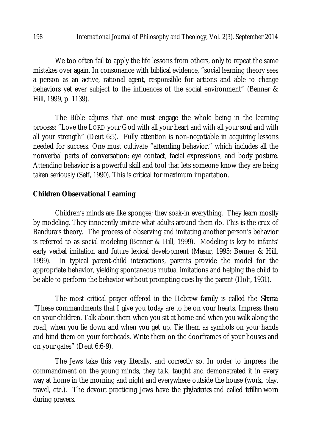### 198 International Journal of Philosophy and Theology, Vol. 2(3), September 2014

We too often fail to apply the life lessons from others, only to repeat the same mistakes over again. In consonance with biblical evidence, "social learning theory sees a person as an active, rational agent, responsible for actions and able to change behaviors yet ever subject to the influences of the social environment" (Benner & Hill, 1999, p. 1139).

The Bible adjures that one must engage the whole being in the learning process: "Love the LORD your God with all your heart and with all your soul and with all your strength" (Deut 6:5). Fully attention is non-negotiable in acquiring lessons needed for success. One must cultivate "attending behavior," which includes all the nonverbal parts of conversation: eye contact, facial expressions, and body posture. Attending behavior is a powerful skill and tool that lets someone know they are being taken seriously (Self, 1990). This is critical for maximum impartation.

# **Children Observational Learning**

Children's minds are like sponges; they soak-in everything. They learn mostly by modeling. They innocently imitate what adults around them do. This is the crux of Bandura's theory. The process of observing and imitating another person's behavior is referred to as social modeling (Benner & Hill, 1999). Modeling is key to infants' early verbal imitation and future lexical development (Masur, 1995; Benner & Hill, 1999). In typical parent-child interactions, parents provide the model for the appropriate behavior, yielding spontaneous mutual imitations and helping the child to be able to perform the behavior without prompting cues by the parent (Holt, 1931).

The most critical prayer offered in the Hebrew family is called the *Shema*: "These commandments that I give you today are to be on your hearts. Impress them on your children. Talk about them when you sit at home and when you walk along the road, when you lie down and when you get up. Tie them as symbols on your hands and bind them on your foreheads. Write them on the doorframes of your houses and on your gates" (Deut 6:6-9).

The Jews take this very literally, and correctly so. In order to impress the commandment on the young minds, they talk, taught and demonstrated it in every way at home in the morning and night and everywhere outside the house (work, play, travel, etc.). The devout practicing Jews have the *phylacteries* and called *tefillin* worn during prayers.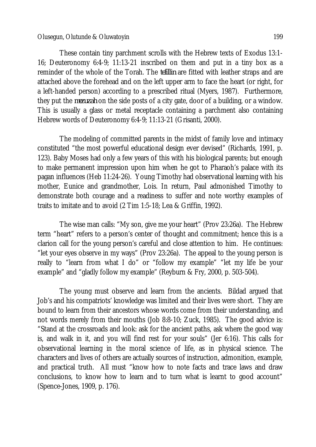#### Olusegun, Olutunde & Oluwatoyin 199

These contain tiny parchment scrolls with the Hebrew texts of Exodus 13:1- 16; Deuteronomy 6:4-9; 11:13-21 inscribed on them and put in a tiny box as a reminder of the whole of the Torah. The *tefillin* are fitted with leather straps and are attached above the forehead and on the left upper arm to face the heart (or right, for a left-handed person) according to a prescribed ritual (Myers, 1987). Furthermore, they put the *mezuzah* on the side posts of a city gate, door of a building, or a window. This is usually a glass or metal receptacle containing a parchment also containing Hebrew words of Deuteronomy 6:4-9; 11:13-21 (Grisanti, 2000).

The modeling of committed parents in the midst of family love and intimacy constituted "the most powerful educational design ever devised" (Richards, 1991, p. 123). Baby Moses had only a few years of this with his biological parents; but enough to make permanent impression upon him when he got to Pharaoh's palace with its pagan influences (Heb 11:24-26). Young Timothy had observational learning with his mother, Eunice and grandmother, Lois. In return, Paul admonished Timothy to demonstrate both courage and a readiness to suffer and note worthy examples of traits to imitate and to avoid (2 Tim 1:5-18; Lea & Griffin, 1992).

The wise man calls: "My son, give me your heart" (Prov 23:26a). The Hebrew term "heart" refers to a person's center of thought and commitment; hence this is a clarion call for the young person's careful and close attention to him. He continues: "let your eyes observe in my ways" (Prov 23:26a). The appeal to the young person is really to "learn from what I do" or "follow my example" "let my life be your example" and "gladly follow my example" (Reyburn & Fry, 2000, p. 503-504).

The young must observe and learn from the ancients. Bildad argued that Job's and his compatriots' knowledge was limited and their lives were short. They are bound to learn from their ancestors whose words come from their understanding, and not words merely from their mouths (Job 8:8-10; Zuck, 1985). The good advice is: "Stand at the crossroads and look: ask for the ancient paths, ask where the good way is, and walk in it, and you will find rest for your souls" (Jer 6:16). This calls for observational learning in the moral science of life, as in physical science. The characters and lives of others are actually sources of instruction, admonition, example, and practical truth. All must "know how to note facts and trace laws and draw conclusions, to know how to learn and to turn what is learnt to good account" (Spence-Jones, 1909, p. 176).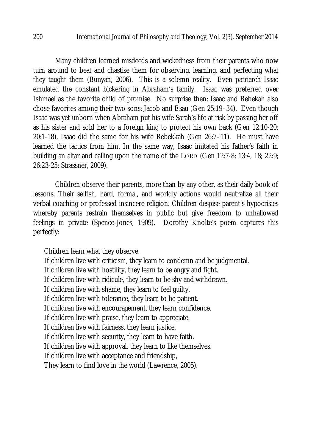Many children learned misdeeds and wickedness from their parents who now turn around to beat and chastise them for observing, learning, and perfecting what they taught them (Bunyan, 2006). This is a solemn reality. Even patriarch Isaac emulated the constant bickering in Abraham's family. Isaac was preferred over Ishmael as the favorite child of promise. No surprise then: Isaac and Rebekah also chose favorites among their two sons: Jacob and Esau (Gen 25:19–34). Even though Isaac was yet unborn when Abraham put his wife Sarah's life at risk by passing her off as his sister and sold her to a foreign king to protect his own back (Gen 12:10-20; 20:1-18), Isaac did the same for his wife Rebekkah (Gen 26:7–11). He must have learned the tactics from him. In the same way, Isaac imitated his father's faith in building an altar and calling upon the name of the LORD (Gen 12:7-8; 13:4, 18; 22:9; 26:23-25; Strassner, 2009).

Children observe their parents, more than by any other, as their daily book of lessons. Their selfish, hard, formal, and worldly actions would neutralize all their verbal coaching or professed insincere religion. Children despise parent's hypocrisies whereby parents restrain themselves in public but give freedom to unhallowed feelings in private (Spence-Jones, 1909). Dorothy Knolte's poem captures this perfectly:

Children learn what they observe.

- If children live with criticism, they learn to condemn and be judgmental.
- If children live with hostility, they learn to be angry and fight.
- If children live with ridicule, they learn to be shy and withdrawn.

If children live with shame, they learn to feel guilty.

If children live with tolerance, they learn to be patient.

If children live with encouragement, they learn confidence.

If children live with praise, they learn to appreciate.

If children live with fairness, they learn justice.

If children live with security, they learn to have faith.

If children live with approval, they learn to like themselves.

If children live with acceptance and friendship,

They learn to find love in the world (Lawrence, 2005).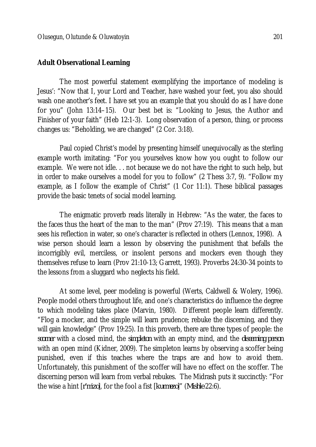#### **Adult Observational Learning**

The most powerful statement exemplifying the importance of modeling is Jesus': "Now that I, your Lord and Teacher, have washed your feet, you also should wash one another's feet. I have set you an example that you should do as I have done for you" (John 13:14–15). Our best bet is: "Looking to Jesus, the Author and Finisher of your faith" (Heb 12:1-3). Long observation of a person, thing, or process changes us: "Beholding, we are changed" (2 Cor. 3:18).

Paul copied Christ's model by presenting himself unequivocally as the sterling example worth imitating: "For you yourselves know how you ought to follow our example. We were not idle. . . not because we do not have the right to such help, but in order to make ourselves a model for you to follow" (2 Thess 3:7, 9). "Follow my example, as I follow the example of Christ" (1 Cor 11:1). These biblical passages provide the basic tenets of social model learning.

The enigmatic proverb reads literally in Hebrew: "As the water, the faces to the faces thus the heart of the man to the man" (Prov 27:19). This means that a man sees his reflection in water, so one's character is reflected in others (Lennox, 1998). A wise person should learn a lesson by observing the punishment that befalls the incorrigibly evil, merciless, or insolent persons and mockers even though they themselves refuse to learn (Prov 21:10-13; Garrett, 1993). Proverbs 24:30-34 points to the lessons from a sluggard who neglects his field.

At some level, peer modeling is powerful (Werts, Caldwell & Wolery, 1996). People model others throughout life, and one's characteristics do influence the degree to which modeling takes place (Marvin, 1980). Different people learn differently. "Flog a mocker, and the simple will learn prudence; rebuke the discerning, and they will gain knowledge" (Prov 19:25). In this proverb, there are three types of people: the *scorner* with a closed mind, the *simpleton* with an empty mind, and the *discerning person* with an open mind (Kidner, 2009). The simpleton learns by observing a scoffer being punished, even if this teaches where the traps are and how to avoid them. Unfortunately, this punishment of the scoffer will have no effect on the scoffer. The discerning person will learn from verbal rebukes. The Midrash puts it succinctly: "For the wise a hint [*r'mizo*], for the fool a fist [*kurmezo*]" (*Mishle* 22:6).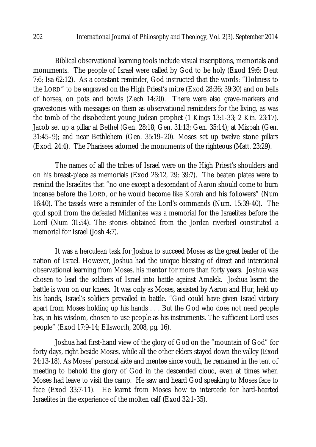Biblical observational learning tools include visual inscriptions, memorials and monuments. The people of Israel were called by God to be holy (Exod 19:6; Deut 7:6; Isa 62:12). As a constant reminder, God instructed that the words: "Holiness to the LORD" to be engraved on the High Priest's mitre (Exod 28:36; 39:30) and on bells of horses, on pots and bowls (Zech 14:20). There were also grave-markers and gravestones with messages on them as observational reminders for the living, as was the tomb of the disobedient young Judean prophet (1 Kings 13:1-33; 2 Kin. 23:17). Jacob set up a pillar at Bethel (Gen. 28:18; Gen. 31:13; Gen. 35:14); at Mizpah (Gen. 31:45–9); and near Bethlehem (Gen. 35:19–20). Moses set up twelve stone pillars (Exod. 24:4). The Pharisees adorned the monuments of the righteous (Matt. 23:29).

The names of all the tribes of Israel were on the High Priest's shoulders and on his breast-piece as memorials (Exod 28:12, 29; 39:7). The beaten plates were to remind the Israelites that "no one except a descendant of Aaron should come to burn incense before the LORD, or he would become like Korah and his followers" (Num 16:40). The tassels were a reminder of the Lord's commands (Num. 15:39-40). The gold spoil from the defeated Midianites was a memorial for the Israelites before the Lord (Num 31:54). The stones obtained from the Jordan riverbed constituted a memorial for Israel (Josh 4:7).

It was a herculean task for Joshua to succeed Moses as the great leader of the nation of Israel. However, Joshua had the unique blessing of direct and intentional observational learning from Moses, his mentor for more than forty years. Joshua was chosen to lead the soldiers of Israel into battle against Amalek. Joshua learnt the battle is won on our knees. It was only as Moses, assisted by Aaron and Hur, held up his hands, Israel's soldiers prevailed in battle. "God could have given Israel victory apart from Moses holding up his hands . . . But the God who does not need people has, in his wisdom, chosen to use people as his instruments. The sufficient Lord uses people" (Exod 17:9-14; Ellsworth, 2008, pg. 16).

Joshua had first-hand view of the glory of God on the "mountain of God" for forty days, right beside Moses, while all the other elders stayed down the valley (Exod 24:13-18). As Moses' personal aide and mentee since youth, he remained in the tent of meeting to behold the glory of God in the descended cloud, even at times when Moses had leave to visit the camp. He saw and heard God speaking to Moses face to face (Exod 33:7-11). He learnt from Moses how to intercede for hard-hearted Israelites in the experience of the molten calf (Exod 32:1-35).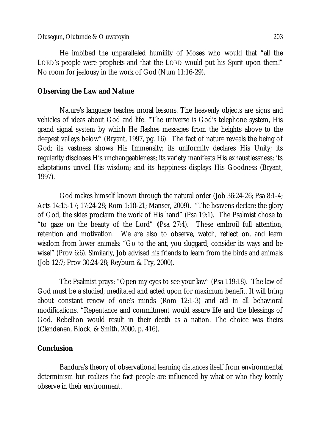He imbibed the unparalleled humility of Moses who would that "all the LORD's people were prophets and that the LORD would put his Spirit upon them!" No room for jealousy in the work of God (Num 11:16-29).

### **Observing the Law and Nature**

Nature's language teaches moral lessons. The heavenly objects are signs and vehicles of ideas about God and life. "The universe is God's telephone system, His grand signal system by which He flashes messages from the heights above to the deepest valleys below" (Bryant, 1997, pg. 16). The fact of nature reveals the being of God; its vastness shows His Immensity; its uniformity declares His Unity; its regularity discloses His unchangeableness; its variety manifests His exhaustlessness; its adaptations unveil His wisdom; and its happiness displays His Goodness (Bryant, 1997).

God makes himself known through the natural order (Job 36:24-26; Psa 8:1-4; Acts 14:15-17; 17:24-28; Rom 1:18-21; Manser, 2009). "The heavens declare the glory of God, the skies proclaim the work of His hand" (Psa 19:1). The Psalmist chose to "to gaze on the beauty of the Lord" **(**Psa 27:4). These embroil full attention, retention and motivation. We are also to observe, watch, reflect on, and learn wisdom from lower animals: "Go to the ant, you sluggard; consider its ways and be wise!" (Prov 6:6). Similarly, Job advised his friends to learn from the birds and animals (Job 12:7; Prov 30:24-28; Reyburn & Fry, 2000).

The Psalmist prays: "Open my eyes to see your law" (Psa 119:18). The law of God must be a studied, meditated and acted upon for maximum benefit. It will bring about constant renew of one's minds (Rom 12:1-3) and aid in all behavioral modifications. "Repentance and commitment would assure life and the blessings of God. Rebellion would result in their death as a nation. The choice was theirs (Clendenen, Block, & Smith, 2000, p. 416).

## **Conclusion**

Bandura's theory of observational learning distances itself from environmental determinism but realizes the fact people are influenced by what or who they keenly observe in their environment.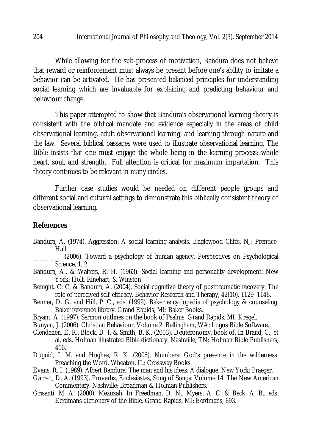While allowing for the sub-process of motivation, Bandura does not believe that reward or reinforcement must always be present before one's ability to imitate a behavior can be activated. He has presented balanced principles for understanding social learning which are invaluable for explaining and predicting behaviour and behaviour change.

This paper attempted to show that Bandura's observational learning theory is consistent with the biblical mandate and evidence especially in the areas of child observational learning, adult observational learning, and learning through nature and the law. Several biblical passages were used to illustrate observational learning. The Bible insists that one must engage the whole being in the learning process: whole heart, soul, and strength. Full attention is critical for maximum impartation. This theory continues to be relevant in many circles.

Further case studies would be needed on different people groups and different social and cultural settings to demonstrate this biblically consistent theory of observational learning.

# **References**

Bandura, A. (1974). Aggression: A social learning analysis. Englewood Cliffs, NJ: Prentice-Hall.

\_\_\_\_\_\_\_\_. (2006). Toward a psychology of human agency. Perspectives on Psychological Science, 1, 2.

- Bandura, A., & Walters, R. H. (1963). Social learning and personality development. New York: Holt, Rinehart, & Winston.
- Benight, C. C. & Bandura, A. (2004). Social cognitive theory of posttraumatic recovery: The role of perceived self-efficacy. Behavior Research and Therapy, 42(10), 1129–1148.
- Benner, D. G. and Hill, P. C., eds. (1999). Baker encyclopedia of psychology & counseling. Baker reference library. Grand Rapids, MI: Baker Books.
- Bryant, A. (1997). Sermon outlines on the book of Psalms. Grand Rapids, MI: Kregel.
- Bunyan, J. (2006). Christian Behaviour. Volume 2. Bellingham, WA: Logos Bible Software.
- Clendenen, E. R., Block, D. I. & Smith, B. K. (2003). Deuteronomy, book of. In Brand, C., et al, eds. Holman illustrated Bible dictionary. Nashville, TN: Holman Bible Publishers, 416.
- Duguid, I. M. and Hughes, R. K. (2006). Numbers: God's presence in the wilderness. Preaching the Word. Wheaton, IL: Crossway Books.
- Evans, R. I. (1989). Albert Bandura: The man and his ideas: A dialogue. New York: Praeger.
- Garrett, D. A. (1993). Proverbs, Ecclesiastes, Song of Songs. Volume 14. The New American Commentary. Nashville: Broadman & Holman Publishers.
- Grisanti, M. A. (2000). Mezuzah. In Freedman, D. N., Myers, A. C. & Beck, A. B., eds. Eerdmans dictionary of the Bible. Grand Rapids, MI: Eerdmans, 893.